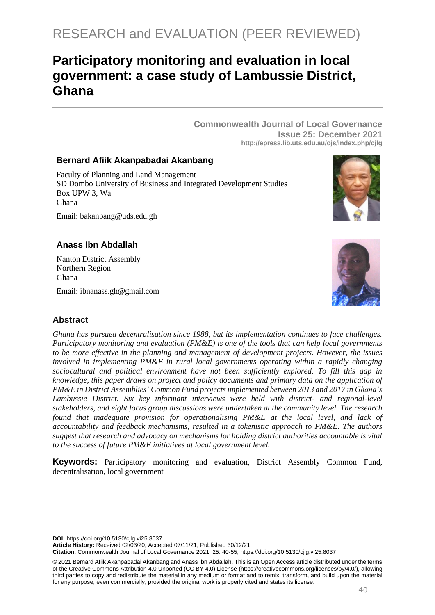# **Participatory monitoring and evaluation in local government: a case study of Lambussie District, Ghana**

**Commonwealth Journal of Local Governance Issue 25: December 2021 <http://epress.lib.uts.edu.au/ojs/index.php/cjlg>**

#### **Bernard Afiik Akanpabadai Akanbang**

Faculty of Planning and Land Management SD Dombo University of Business and Integrated Development Studies Box UPW 3, Wa Ghana



# Email: bakanbang@uds.edu.gh

#### **Anass Ibn Abdallah**

Nanton District Assembly Northern Region Ghana

Email: ibnanass.gh@gmail.com



#### **Abstract**

*Ghana has pursued decentralisation since 1988, but its implementation continues to face challenges. Participatory monitoring and evaluation (PM&E) is one of the tools that can help local governments to be more effective in the planning and management of development projects. However, the issues involved in implementing PM&E in rural local governments operating within a rapidly changing sociocultural and political environment have not been sufficiently explored. To fill this gap in knowledge, this paper draws on project and policy documents and primary data on the application of PM&E in District Assemblies' Common Fund projects implemented between 2013 and 2017 in Ghana's Lambussie District. Six key informant interviews were held with district- and regional-level stakeholders, and eight focus group discussions were undertaken at the community level. The research found that inadequate provision for operationalising PM&E at the local level, and lack of accountability and feedback mechanisms, resulted in a tokenistic approach to PM&E. The authors suggest that research and advocacy on mechanisms for holding district authorities accountable is vital to the success of future PM&E initiatives at local government level.*

**Keywords:** Participatory monitoring and evaluation, District Assembly Common Fund, decentralisation, local government

**DOI:** https://doi.org/10.5130/cjlg.vi25.8037

**Article History:** Received 02/03/20; Accepted 07/11/21; Published 30/12/21

**Citation**: Commonwealth Journal of Local Governance 2021, 25: 40-55, https://doi.org/10.5130/cjlg.vi25.8037

© 2021 Bernard Afiik Akanpabadai Akanbang and Anass Ibn Abdallah. This is an Open Access article distributed under the terms of the Creative Commons Attribution 4.0 Unported (CC BY 4.0) License [\(https://creativecommons.org/licenses/by/4.0/\)](https://creativecommons.org/licenses/by/4.0/), allowing third parties to copy and redistribute the material in any medium or format and to remix, transform, and build upon the material for any purpose, even commercially, provided the original work is properly cited and states its license.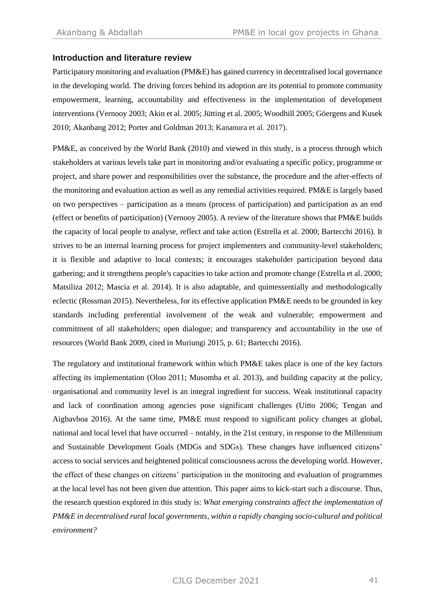#### **Introduction and literature review**

Participatory monitoring and evaluation (PM&E) has gained currency in decentralised local governance in the developing world. The driving forces behind its adoption are its potential to promote community empowerment, learning, accountability and effectiveness in the implementation of development interventions (Vernooy 2003; Akin et al. 2005; Jütting et al. 2005; Woodhill 2005; Göergens and Kusek 2010; Akanbang 2012; Porter and Goldman 2013; Kananura et al. 2017).

PM&E, as conceived by the World Bank (2010) and viewed in this study, is a process through which stakeholders at various levels take part in monitoring and/or evaluating a specific policy, programme or project, and share power and responsibilities over the substance, the procedure and the after-effects of the monitoring and evaluation action as well as any remedial activities required. PM&E is largely based on two perspectives – participation as a means (process of participation) and participation as an end (effect or benefits of participation) (Vernooy 2005). A review of the literature shows that PM&E builds the capacity of local people to analyse, reflect and take action (Estrella et al. 2000; Bartecchi 2016). It strives to be an internal learning process for project implementers and community-level stakeholders; it is flexible and adaptive to local contexts; it encourages stakeholder participation beyond data gathering; and it strengthens people's capacities to take action and promote change (Estrella et al. 2000; Matsiliza 2012; Mascia et al. 2014). It is also adaptable, and quintessentially and methodologically eclectic (Rossman 2015). Nevertheless, for its effective application PM&E needs to be grounded in key standards including preferential involvement of the weak and vulnerable; empowerment and commitment of all stakeholders; open dialogue; and transparency and accountability in the use of resources (World Bank 2009, cited in Muriungi 2015, p. 61; Bartecchi 2016).

The regulatory and institutional framework within which PM&E takes place is one of the key factors affecting its implementation (Oloo 2011; Musomba et al. 2013), and building capacity at the policy, organisational and community level is an integral ingredient for success. Weak institutional capacity and lack of coordination among agencies pose significant challenges (Uitto 2006; Tengan and Aigbavboa 2016). At the same time, PM&E must respond to significant policy changes at global, national and local level that have occurred – notably, in the 21st century, in response to the Millennium and Sustainable Development Goals (MDGs and SDGs). These changes have influenced citizens' access to social services and heightened political consciousness across the developing world. However, the effect of these changes on citizens' participation in the monitoring and evaluation of programmes at the local level has not been given due attention. This paper aims to kick-start such a discourse. Thus, the research question explored in this study is: *What emerging constraints affect the implementation of PM&E in decentralised rural local governments, within a rapidly changing socio-cultural and political environment?*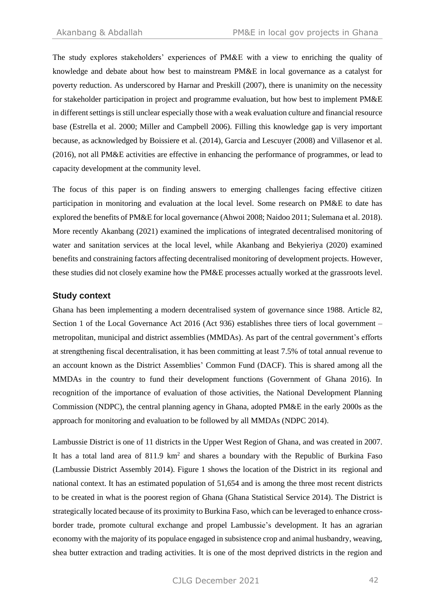The study explores stakeholders' experiences of PM&E with a view to enriching the quality of knowledge and debate about how best to mainstream PM&E in local governance as a catalyst for poverty reduction. As underscored by Harnar and Preskill (2007), there is unanimity on the necessity for stakeholder participation in project and programme evaluation, but how best to implement PM&E in different settings is still unclear especially those with a weak evaluation culture and financial resource base (Estrella et al. 2000; Miller and Campbell 2006). Filling this knowledge gap is very important because, as acknowledged by Boissiere et al. (2014), Garcia and Lescuyer (2008) and Villasenor et al. (2016), not all PM&E activities are effective in enhancing the performance of programmes, or lead to capacity development at the community level.

The focus of this paper is on finding answers to emerging challenges facing effective citizen participation in monitoring and evaluation at the local level. Some research on PM&E to date has explored the benefits of PM&E for local governance (Ahwoi 2008; Naidoo 2011; Sulemana et al. 2018). More recently Akanbang (2021) examined the implications of integrated decentralised monitoring of water and sanitation services at the local level, while Akanbang and Bekyieriya (2020) examined benefits and constraining factors affecting decentralised monitoring of development projects. However, these studies did not closely examine how the PM&E processes actually worked at the grassroots level.

#### **Study context**

Ghana has been implementing a modern decentralised system of governance since 1988. Article 82, Section 1 of the Local Governance Act 2016 (Act 936) establishes three tiers of local government – metropolitan, municipal and district assemblies (MMDAs). As part of the central government's efforts at strengthening fiscal decentralisation, it has been committing at least 7.5% of total annual revenue to an account known as the District Assemblies' Common Fund (DACF). This is shared among all the MMDAs in the country to fund their development functions (Government of Ghana 2016). In recognition of the importance of evaluation of those activities, the National Development Planning Commission (NDPC), the central planning agency in Ghana, adopted PM&E in the early 2000s as the approach for monitoring and evaluation to be followed by all MMDAs (NDPC 2014).

Lambussie District is one of 11 districts in the Upper West Region of Ghana, and was created in 2007. It has a total land area of 811.9 km<sup>2</sup> and shares a boundary with the Republic of Burkina Faso (Lambussie District Assembly 2014). Figure 1 shows the location of the District in its regional and national context. It has an estimated population of 51,654 and is among the three most recent districts to be created in what is the poorest region of Ghana (Ghana Statistical Service 2014). The District is strategically located because of its proximity to Burkina Faso, which can be leveraged to enhance crossborder trade, promote cultural exchange and propel Lambussie's development. It has an agrarian economy with the majority of its populace engaged in subsistence crop and animal husbandry, weaving, shea butter extraction and trading activities. It is one of the most deprived districts in the region and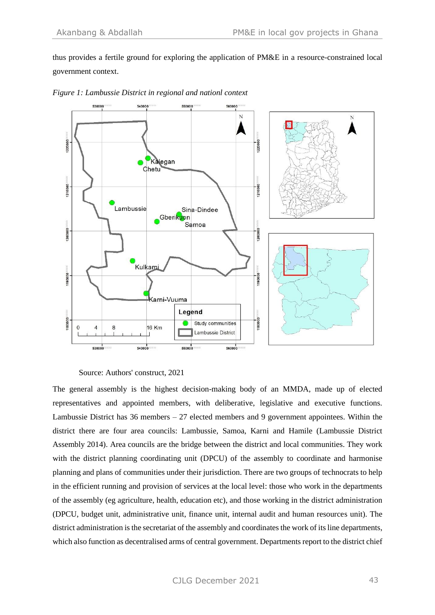thus provides a fertile ground for exploring the application of PM&E in a resource-constrained local government context.





The general assembly is the highest decision-making body of an MMDA, made up of elected representatives and appointed members, with deliberative, legislative and executive functions. Lambussie District has  $36$  members  $-27$  elected members and 9 government appointees. Within the district there are four area councils: Lambussie, Samoa, Karni and Hamile (Lambussie District Assembly 2014). Area councils are the bridge between the district and local communities. They work with the district planning coordinating unit (DPCU) of the assembly to coordinate and harmonise planning and plans of communities under their jurisdiction. There are two groups of technocrats to help in the efficient running and provision of services at the local level: those who work in the departments of the assembly (eg agriculture, health, education etc), and those working in the district administration (DPCU, budget unit, administrative unit, finance unit, internal audit and human resources unit). The district administration is the secretariat of the assembly and coordinates the work of its line departments, which also function as decentralised arms of central government. Departments report to the district chief

Source: Authors' construct, 2021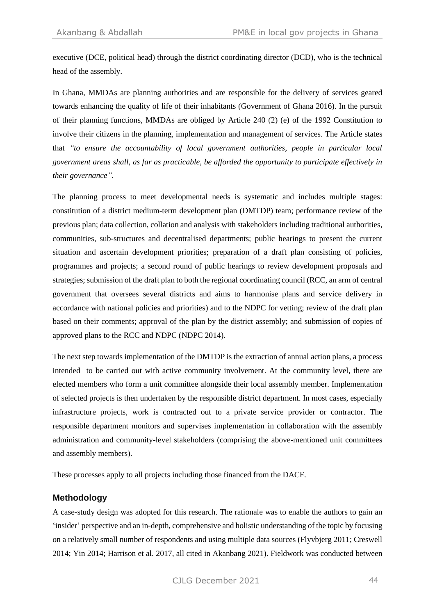executive (DCE, political head) through the district coordinating director (DCD), who is the technical head of the assembly.

In Ghana, MMDAs are planning authorities and are responsible for the delivery of services geared towards enhancing the quality of life of their inhabitants (Government of Ghana 2016). In the pursuit of their planning functions, MMDAs are obliged by Article 240 (2) (e) of the 1992 Constitution to involve their citizens in the planning, implementation and management of services. The Article states that *"to ensure the accountability of local government authorities, people in particular local government areas shall, as far as practicable, be afforded the opportunity to participate effectively in their governance".*

The planning process to meet developmental needs is systematic and includes multiple stages: constitution of a district medium-term development plan (DMTDP) team; performance review of the previous plan; data collection, collation and analysis with stakeholders including traditional authorities, communities, sub-structures and decentralised departments; public hearings to present the current situation and ascertain development priorities; preparation of a draft plan consisting of policies, programmes and projects; a second round of public hearings to review development proposals and strategies; submission of the draft plan to both the regional coordinating council (RCC, an arm of central government that oversees several districts and aims to harmonise plans and service delivery in accordance with national policies and priorities) and to the NDPC for vetting; review of the draft plan based on their comments; approval of the plan by the district assembly; and submission of copies of approved plans to the RCC and NDPC (NDPC 2014).

The next step towards implementation of the DMTDP is the extraction of annual action plans, a process intended to be carried out with active community involvement. At the community level, there are elected members who form a unit committee alongside their local assembly member. Implementation of selected projects is then undertaken by the responsible district department. In most cases, especially infrastructure projects, work is contracted out to a private service provider or contractor. The responsible department monitors and supervises implementation in collaboration with the assembly administration and community-level stakeholders (comprising the above-mentioned unit committees and assembly members).

These processes apply to all projects including those financed from the DACF.

#### **Methodology**

A case-study design was adopted for this research. The rationale was to enable the authors to gain an 'insider' perspective and an in-depth, comprehensive and holistic understanding of the topic by focusing on a relatively small number of respondents and using multiple data sources (Flyvbjerg 2011; Creswell 2014; Yin 2014; Harrison et al. 2017, all cited in Akanbang 2021). Fieldwork was conducted between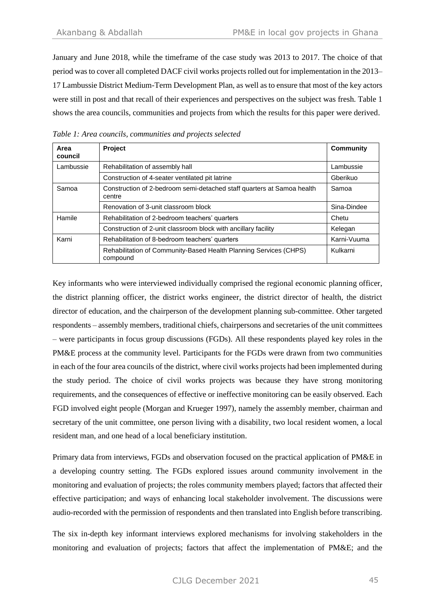January and June 2018, while the timeframe of the case study was 2013 to 2017. The choice of that period was to cover all completed DACF civil works projects rolled out for implementation in the 2013– 17 Lambussie District Medium-Term Development Plan, as well as to ensure that most of the key actors were still in post and that recall of their experiences and perspectives on the subject was fresh. Table 1 shows the area councils, communities and projects from which the results for this paper were derived.

| Area<br>council | <b>Project</b>                                                                   | <b>Community</b> |
|-----------------|----------------------------------------------------------------------------------|------------------|
| Lambussie       | Rehabilitation of assembly hall                                                  | Lambussie        |
|                 | Construction of 4-seater ventilated pit latrine                                  | Gberikuo         |
| Samoa           | Construction of 2-bedroom semi-detached staff quarters at Samoa health<br>centre | Samoa            |
|                 | Renovation of 3-unit classroom block                                             | Sina-Dindee      |
| Hamile          | Rehabilitation of 2-bedroom teachers' quarters                                   | Chetu            |
|                 | Construction of 2-unit classroom block with ancillary facility                   | Kelegan          |
| Karni           | Rehabilitation of 8-bedroom teachers' quarters                                   | Karni-Vuuma      |
|                 | Rehabilitation of Community-Based Health Planning Services (CHPS)<br>compound    | Kulkarni         |

*Table 1: Area councils, communities and projects selected*

Key informants who were interviewed individually comprised the regional economic planning officer, the district planning officer, the district works engineer, the district director of health, the district director of education, and the chairperson of the development planning sub-committee. Other targeted respondents – assembly members, traditional chiefs, chairpersons and secretaries of the unit committees – were participants in focus group discussions (FGDs). All these respondents played key roles in the PM&E process at the community level. Participants for the FGDs were drawn from two communities in each of the four area councils of the district, where civil works projects had been implemented during the study period. The choice of civil works projects was because they have strong monitoring requirements, and the consequences of effective or ineffective monitoring can be easily observed. Each FGD involved eight people (Morgan and Krueger 1997), namely the assembly member, chairman and secretary of the unit committee, one person living with a disability, two local resident women, a local resident man, and one head of a local beneficiary institution.

Primary data from interviews, FGDs and observation focused on the practical application of PM&E in a developing country setting. The FGDs explored issues around community involvement in the monitoring and evaluation of projects; the roles community members played; factors that affected their effective participation; and ways of enhancing local stakeholder involvement. The discussions were audio-recorded with the permission of respondents and then translated into English before transcribing.

The six in-depth key informant interviews explored mechanisms for involving stakeholders in the monitoring and evaluation of projects; factors that affect the implementation of PM&E; and the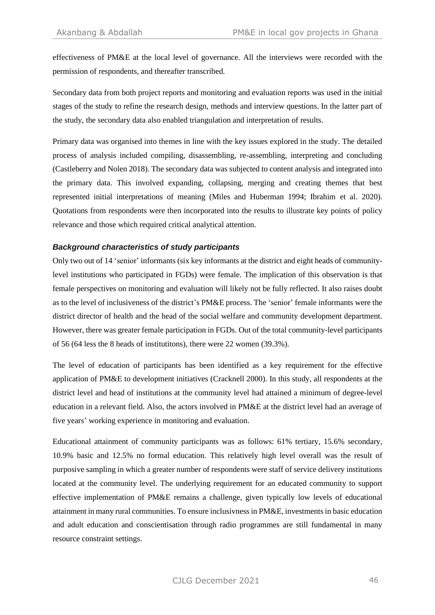effectiveness of PM&E at the local level of governance. All the interviews were recorded with the permission of respondents, and thereafter transcribed.

Secondary data from both project reports and monitoring and evaluation reports was used in the initial stages of the study to refine the research design, methods and interview questions. In the latter part of the study, the secondary data also enabled triangulation and interpretation of results.

Primary data was organised into themes in line with the key issues explored in the study. The detailed process of analysis included compiling, disassembling, re-assembling, interpreting and concluding (Castleberry and Nolen 2018). The secondary data was subjected to content analysis and integrated into the primary data. This involved expanding, collapsing, merging and creating themes that best represented initial interpretations of meaning (Miles and Huberman 1994; Ibrahim et al. 2020). Quotations from respondents were then incorporated into the results to illustrate key points of policy relevance and those which required critical analytical attention.

#### *Background characteristics of study participants*

Only two out of 14 'senior' informants (six key informants at the district and eight heads of communitylevel institutions who participated in FGDs) were female. The implication of this observation is that female perspectives on monitoring and evaluation will likely not be fully reflected. It also raises doubt as to the level of inclusiveness of the district's PM&E process. The 'senior' female informants were the district director of health and the head of the social welfare and community development department. However, there was greater female participation in FGDs. Out of the total community-level participants of 56 (64 less the 8 heads of institutitons), there were 22 women (39.3%).

The level of education of participants has been identified as a key requirement for the effective application of PM&E to development initiatives (Cracknell 2000). In this study, all respondents at the district level and head of institutions at the community level had attained a minimum of degree-level education in a relevant field. Also, the actors involved in PM&E at the district level had an average of five years' working experience in monitoring and evaluation.

Educational attainment of community participants was as follows: 61% tertiary, 15.6% secondary, 10.9% basic and 12.5% no formal education. This relatively high level overall was the result of purposive sampling in which a greater number of respondents were staff of service delivery institutions located at the community level. The underlying requirement for an educated community to support effective implementation of PM&E remains a challenge, given typically low levels of educational attainment in many rural communities. To ensure inclusivness in PM&E, investments in basic education and adult education and conscientisation through radio programmes are still fundamental in many resource constraint settings.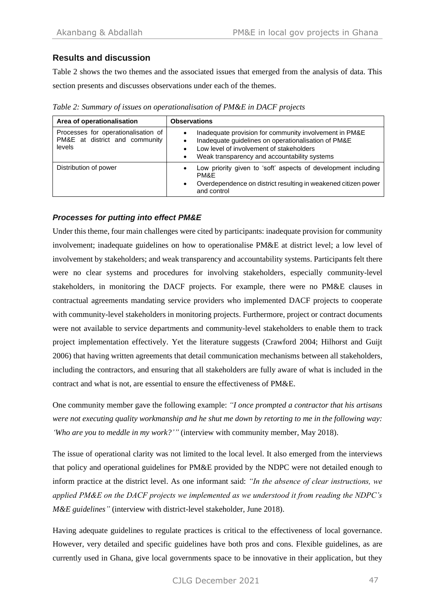# **Results and discussion**

Table 2 shows the two themes and the associated issues that emerged from the analysis of data. This section presents and discusses observations under each of the themes.

*Table 2: Summary of issues on operationalisation of PM&E in DACF projects* 

| Area of operationalisation                                                      | <b>Observations</b>                                                                                                                                                                                            |  |
|---------------------------------------------------------------------------------|----------------------------------------------------------------------------------------------------------------------------------------------------------------------------------------------------------------|--|
| Processes for operationalisation of<br>PM&E at district and community<br>levels | Inadequate provision for community involvement in PM&E<br>Inadequate guidelines on operationalisation of PM&E<br>Low level of involvement of stakeholders<br>Weak transparency and accountability systems<br>٠ |  |
| Distribution of power                                                           | Low priority given to 'soft' aspects of development including<br><b>PM&amp;F</b><br>Overdependence on district resulting in weakened citizen power<br>$\bullet$<br>and control                                 |  |

# *Processes for putting into effect PM&E*

Under this theme, four main challenges were cited by participants: inadequate provision for community involvement; inadequate guidelines on how to operationalise PM&E at district level; a low level of involvement by stakeholders; and weak transparency and accountability systems. Participants felt there were no clear systems and procedures for involving stakeholders, especially community-level stakeholders, in monitoring the DACF projects. For example, there were no PM&E clauses in contractual agreements mandating service providers who implemented DACF projects to cooperate with community-level stakeholders in monitoring projects. Furthermore, project or contract documents were not available to service departments and community-level stakeholders to enable them to track project implementation effectively. Yet the literature suggests (Crawford 2004; Hilhorst and Guijt 2006) that having written agreements that detail communication mechanisms between all stakeholders, including the contractors, and ensuring that all stakeholders are fully aware of what is included in the contract and what is not, are essential to ensure the effectiveness of PM&E.

One community member gave the following example: *"I once prompted a contractor that his artisans were not executing quality workmanship and he shut me down by retorting to me in the following way: 'Who are you to meddle in my work?'"* (interview with community member, May 2018).

The issue of operational clarity was not limited to the local level. It also emerged from the interviews that policy and operational guidelines for PM&E provided by the NDPC were not detailed enough to inform practice at the district level. As one informant said: *"In the absence of clear instructions, we applied PM&E on the DACF projects we implemented as we understood it from reading the NDPC's M&E guidelines"* (interview with district-level stakeholder, June 2018).

Having adequate guidelines to regulate practices is critical to the effectiveness of local governance. However, very detailed and specific guidelines have both pros and cons. Flexible guidelines, as are currently used in Ghana, give local governments space to be innovative in their application, but they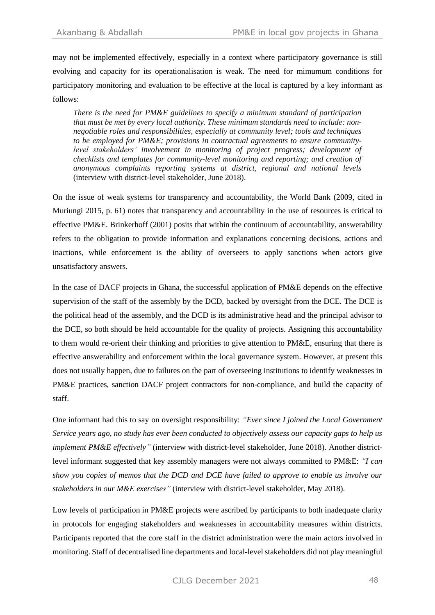may not be implemented effectively, especially in a context where participatory governance is still evolving and capacity for its operationalisation is weak. The need for mimumum conditions for participatory monitoring and evaluation to be effective at the local is captured by a key informant as follows:

*There is the need for PM&E guidelines to specify a minimum standard of participation that must be met by every local authority. These minimum standards need to include: nonnegotiable roles and responsibilities, especially at community level; tools and techniques to be employed for PM&E; provisions in contractual agreements to ensure communitylevel stakeholders' involvement in monitoring of project progress; development of checklists and templates for community-level monitoring and reporting; and creation of anonymous complaints reporting systems at district, regional and national levels*  (interview with district-level stakeholder, June 2018).

On the issue of weak systems for transparency and accountability, the World Bank (2009, cited in Muriungi 2015, p. 61) notes that transparency and accountability in the use of resources is critical to effective PM&E. Brinkerhoff (2001) posits that within the continuum of accountability, answerability refers to the obligation to provide information and explanations concerning decisions, actions and inactions, while enforcement is the ability of overseers to apply sanctions when actors give unsatisfactory answers.

In the case of DACF projects in Ghana, the successful application of PM&E depends on the effective supervision of the staff of the assembly by the DCD, backed by oversight from the DCE. The DCE is the political head of the assembly, and the DCD is its administrative head and the principal advisor to the DCE, so both should be held accountable for the quality of projects. Assigning this accountability to them would re-orient their thinking and priorities to give attention to PM&E, ensuring that there is effective answerability and enforcement within the local governance system. However, at present this does not usually happen, due to failures on the part of overseeing institutions to identify weaknesses in PM&E practices, sanction DACF project contractors for non-compliance, and build the capacity of staff.

One informant had this to say on oversight responsibility: *"Ever since I joined the Local Government Service years ago, no study has ever been conducted to objectively assess our capacity gaps to help us implement PM&E effectively"* (interview with district-level stakeholder, June 2018). Another districtlevel informant suggested that key assembly managers were not always committed to PM&E: *"I can show you copies of memos that the DCD and DCE have failed to approve to enable us involve our stakeholders in our M&E exercises"* (interview with district-level stakeholder, May 2018).

Low levels of participation in PM&E projects were ascribed by participants to both inadequate clarity in protocols for engaging stakeholders and weaknesses in accountability measures within districts. Participants reported that the core staff in the district administration were the main actors involved in monitoring. Staff of decentralised line departments and local-level stakeholders did not play meaningful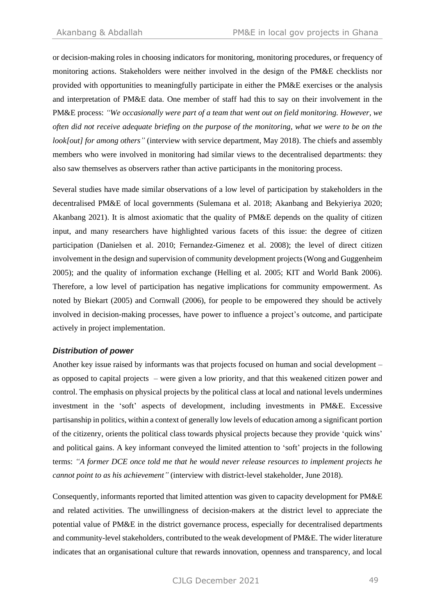or decision-making roles in choosing indicators for monitoring, monitoring procedures, or frequency of monitoring actions. Stakeholders were neither involved in the design of the PM&E checklists nor provided with opportunities to meaningfully participate in either the PM&E exercises or the analysis and interpretation of PM&E data. One member of staff had this to say on their involvement in the PM&E process: *"We occasionally were part of a team that went out on field monitoring. However, we often did not receive adequate briefing on the purpose of the monitoring, what we were to be on the look[out] for among others"* (interview with service department, May 2018). The chiefs and assembly members who were involved in monitoring had similar views to the decentralised departments: they also saw themselves as observers rather than active participants in the monitoring process.

Several studies have made similar observations of a low level of participation by stakeholders in the decentralised PM&E of local governments (Sulemana et al. 2018; Akanbang and Bekyieriya 2020; Akanbang 2021). It is almost axiomatic that the quality of PM&E depends on the quality of citizen input, and many researchers have highlighted various facets of this issue: the degree of citizen participation (Danielsen et al. 2010; Fernandez-Gimenez et al. 2008); the level of direct citizen involvement in the design and supervision of community development projects (Wong and Guggenheim 2005); and the quality of information exchange (Helling et al. 2005; KIT and World Bank 2006). Therefore, a low level of participation has negative implications for community empowerment. As noted by Biekart (2005) and Cornwall (2006), for people to be empowered they should be actively involved in decision-making processes, have power to influence a project's outcome, and participate actively in project implementation.

#### *Distribution of power*

Another key issue raised by informants was that projects focused on human and social development – as opposed to capital projects – were given a low priority, and that this weakened citizen power and control. The emphasis on physical projects by the political class at local and national levels undermines investment in the 'soft' aspects of development, including investments in PM&E. Excessive partisanship in politics, within a context of generally low levels of education among a significant portion of the citizenry, orients the political class towards physical projects because they provide 'quick wins' and political gains. A key informant conveyed the limited attention to 'soft' projects in the following terms: *"A former DCE once told me that he would never release resources to implement projects he cannot point to as his achievement"* (interview with district-level stakeholder, June 2018).

Consequently, informants reported that limited attention was given to capacity development for PM&E and related activities. The unwillingness of decision-makers at the district level to appreciate the potential value of PM&E in the district governance process, especially for decentralised departments and community-level stakeholders, contributed to the weak development of PM&E. The wider literature indicates that an organisational culture that rewards innovation, openness and transparency, and local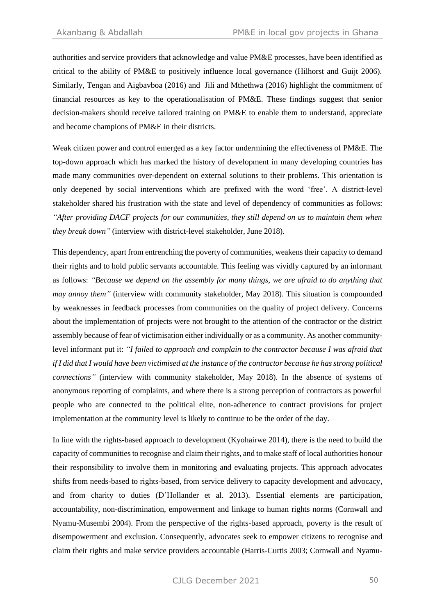authorities and service providers that acknowledge and value PM&E processes, have been identified as critical to the ability of PM&E to positively influence local governance (Hilhorst and Guijt 2006). Similarly, Tengan and Aigbavboa (2016) and Jili and Mthethwa (2016) highlight the commitment of financial resources as key to the operationalisation of PM&E. These findings suggest that senior decision-makers should receive tailored training on PM&E to enable them to understand, appreciate and become champions of PM&E in their districts.

Weak citizen power and control emerged as a key factor undermining the effectiveness of PM&E. The top-down approach which has marked the history of development in many developing countries has made many communities over-dependent on external solutions to their problems. This orientation is only deepened by social interventions which are prefixed with the word 'free'. A district-level stakeholder shared his frustration with the state and level of dependency of communities as follows: *"After providing DACF projects for our communities, they still depend on us to maintain them when they break down"* (interview with district-level stakeholder, June 2018).

This dependency, apart from entrenching the poverty of communities, weakens their capacity to demand their rights and to hold public servants accountable. This feeling was vividly captured by an informant as follows: *"Because we depend on the assembly for many things, we are afraid to do anything that may annoy them"* (interview with community stakeholder, May 2018). This situation is compounded by weaknesses in feedback processes from communities on the quality of project delivery. Concerns about the implementation of projects were not brought to the attention of the contractor or the district assembly because of fear of victimisation either individually or as a community. As another communitylevel informant put it: *"I failed to approach and complain to the contractor because I was afraid that if I did that I would have been victimised at the instance of the contractor because he has strong political connections"* (interview with community stakeholder, May 2018). In the absence of systems of anonymous reporting of complaints, and where there is a strong perception of contractors as powerful people who are connected to the political elite, non-adherence to contract provisions for project implementation at the community level is likely to continue to be the order of the day.

In line with the rights-based approach to development (Kyohairwe 2014), there is the need to build the capacity of communities to recognise and claim their rights, and to make staff of local authorities honour their responsibility to involve them in monitoring and evaluating projects. This approach advocates shifts from needs-based to rights-based, from service delivery to capacity development and advocacy, and from charity to duties (D'Hollander et al. 2013). Essential elements are participation, accountability, non-discrimination, empowerment and linkage to human rights norms (Cornwall and Nyamu-Musembi 2004). From the perspective of the rights-based approach, poverty is the result of disempowerment and exclusion. Consequently, advocates seek to empower citizens to recognise and claim their rights and make service providers accountable (Harris-Curtis 2003; Cornwall and Nyamu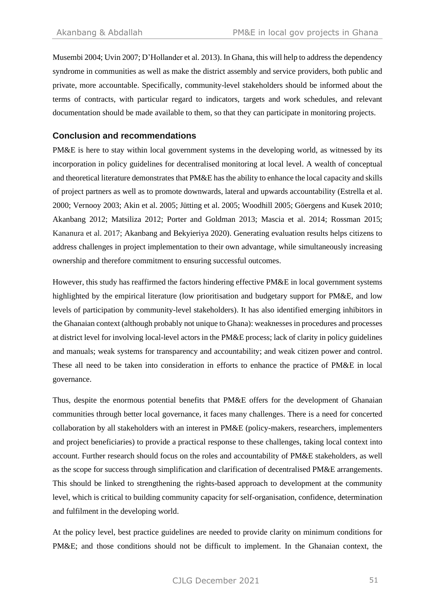Musembi 2004; Uvin 2007; D'Hollander et al. 2013). In Ghana, this will help to address the dependency syndrome in communities as well as make the district assembly and service providers, both public and private, more accountable. Specifically, community-level stakeholders should be informed about the terms of contracts, with particular regard to indicators, targets and work schedules, and relevant documentation should be made available to them, so that they can participate in monitoring projects.

#### **Conclusion and recommendations**

PM&E is here to stay within local government systems in the developing world, as witnessed by its incorporation in policy guidelines for decentralised monitoring at local level. A wealth of conceptual and theoretical literature demonstrates that PM&E has the ability to enhance the local capacity and skills of project partners as well as to promote downwards, lateral and upwards accountability (Estrella et al. 2000; Vernooy 2003; Akin et al. 2005; Jütting et al. 2005; Woodhill 2005; Göergens and Kusek 2010; Akanbang 2012; Matsiliza 2012; Porter and Goldman 2013; Mascia et al. 2014; Rossman 2015; Kananura et al. 2017; Akanbang and Bekyieriya 2020). Generating evaluation results helps citizens to address challenges in project implementation to their own advantage, while simultaneously increasing ownership and therefore commitment to ensuring successful outcomes.

However, this study has reaffirmed the factors hindering effective PM&E in local government systems highlighted by the empirical literature (low prioritisation and budgetary support for PM&E, and low levels of participation by community-level stakeholders). It has also identified emerging inhibitors in the Ghanaian context (although probably not unique to Ghana): weaknesses in procedures and processes at district level for involving local-level actors in the PM&E process; lack of clarity in policy guidelines and manuals; weak systems for transparency and accountability; and weak citizen power and control. These all need to be taken into consideration in efforts to enhance the practice of PM&E in local governance.

Thus, despite the enormous potential benefits that PM&E offers for the development of Ghanaian communities through better local governance, it faces many challenges. There is a need for concerted collaboration by all stakeholders with an interest in PM&E (policy-makers, researchers, implementers and project beneficiaries) to provide a practical response to these challenges, taking local context into account. Further research should focus on the roles and accountability of PM&E stakeholders, as well as the scope for success through simplification and clarification of decentralised PM&E arrangements. This should be linked to strengthening the rights-based approach to development at the community level, which is critical to building community capacity for self-organisation, confidence, determination and fulfilment in the developing world.

At the policy level, best practice guidelines are needed to provide clarity on minimum conditions for PM&E; and those conditions should not be difficult to implement. In the Ghanaian context, the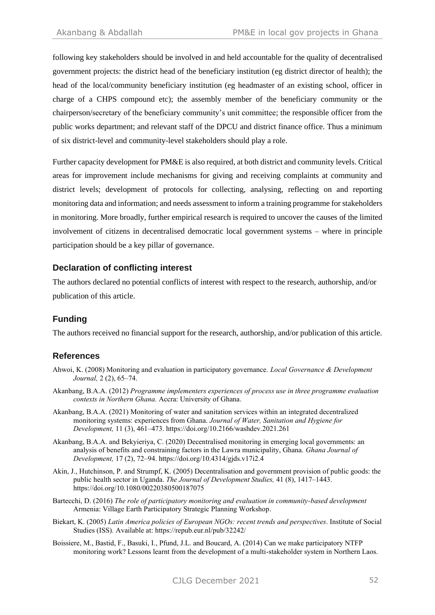following key stakeholders should be involved in and held accountable for the quality of decentralised government projects: the district head of the beneficiary institution (eg district director of health); the head of the local/community beneficiary institution (eg headmaster of an existing school, officer in charge of a CHPS compound etc); the assembly member of the beneficiary community or the chairperson/secretary of the beneficiary community's unit committee; the responsible officer from the public works department; and relevant staff of the DPCU and district finance office. Thus a minimum of six district-level and community-level stakeholders should play a role.

Further capacity development for PM&E is also required, at both district and community levels. Critical areas for improvement include mechanisms for giving and receiving complaints at community and district levels; development of protocols for collecting, analysing, reflecting on and reporting monitoring data and information; and needs assessment to inform a training programme for stakeholders in monitoring. More broadly, further empirical research is required to uncover the causes of the limited involvement of citizens in decentralised democratic local government systems – where in principle participation should be a key pillar of governance.

### **Declaration of conflicting interest**

The authors declared no potential conflicts of interest with respect to the research, authorship, and/or publication of this article.

# **Funding**

The authors received no financial support for the research, authorship, and/or publication of this article.

# **References**

- Ahwoi, K. (2008) Monitoring and evaluation in participatory governance. *Local Governance & Development Journal,* 2 (2), 65–74.
- Akanbang, B.A.A. (2012) *Programme implementers experiences of process use in three programme evaluation contexts in Northern Ghana.* Accra: University of Ghana.
- Akanbang, B.A.A. (2021) Monitoring of water and sanitation services within an integrated decentralized monitoring systems: experiences from Ghana. *Journal of Water, Sanitation and Hygiene for Development,* 11 (3), 461–473. https://doi.org/10.2166/washdev.2021.261
- Akanbang, B.A.A. and Bekyieriya, C. (2020) Decentralised monitoring in emerging local governments: an analysis of benefits and constraining factors in the Lawra municipality, Ghana. *Ghana Journal of Development,* 17 (2), 72–94. https://doi.org/10.4314/gjds.v17i2.4
- Akin, J., Hutchinson, P. and Strumpf, K. (2005) Decentralisation and government provision of public goods: the public health sector in Uganda. *The Journal of Development Studies,* 41 (8), 1417–1443. https://doi.org/10.1080/00220380500187075
- Bartecchi, D. (2016) *The role of participatory monitoring and evaluation in community-based development* Armenia: Village Earth Participatory Strategic Planning Workshop.
- Biekart, K. (2005) *Latin America policies of European NGOs: recent trends and perspectives*. Institute of Social Studies (ISS)*.* Available at: https://repub.eur.nl/pub/32242/
- Boissiere, M., Bastid, F., Basuki, I., Pfund, J.L. and Boucard, A. (2014) Can we make participatory NTFP monitoring work? Lessons learnt from the development of a multi-stakeholder system in Northern Laos.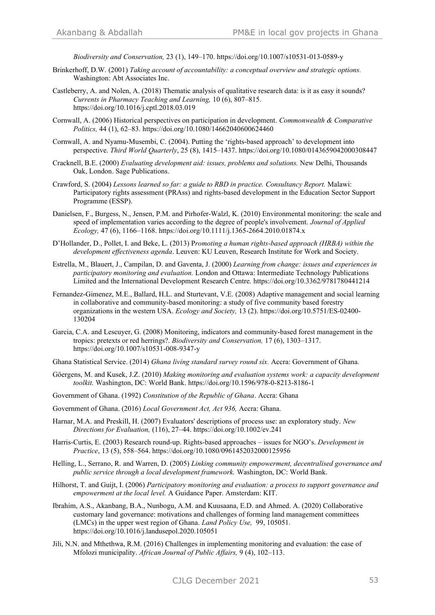*Biodiversity and Conservation,* 23 (1), 149–170. https://doi.org/10.1007/s10531-013-0589-y

- Brinkerhoff, D.W. (2001) *Taking account of accountability: a conceptual overview and strategic options.* Washington: Abt Associates Inc.
- Castleberry, A. and Nolen, A. (2018) Thematic analysis of qualitative research data: is it as easy it sounds? *Currents in Pharmacy Teaching and Learning,* 10 (6), 807–815. https://doi.org/10.1016/j.cptl.2018.03.019
- Cornwall, A. (2006) Historical perspectives on participation in development. *Commonwealth & Comparative Politics,* 44 (1), 62–83. https://doi.org/10.1080/14662040600624460
- Cornwall, A. and Nyamu-Musembi, C. (2004). Putting the 'rights‐based approach' to development into perspective. *Third World Quarterly*, 25 (8), 1415–1437. https://doi.org/10.1080/0143659042000308447
- Cracknell, B.E. (2000) *Evaluating development aid: issues, problems and solutions.* New Delhi, Thousands Oak, London. Sage Publications.
- Crawford, S. (2004) *Lessons learned so far: a guide to RBD in practice. Consultancy Report.* Malawi: Participatory rights assessment (PRAss) and rights-based development in the Education Sector Support Programme (ESSP).
- Danielsen, F., Burgess, N., Jensen, P.M. and Pirhofer-Walzl, K. (2010) Environmental monitoring: the scale and speed of implementation varies according to the degree of people's involvement. *Journal of Applied Ecology,* 47 (6), 1166–1168. https://doi.org/10.1111/j.1365-2664.2010.01874.x
- D'Hollander, D., Pollet, I. and Beke, L. (2013) P*romoting a human rights-based approach (HRBA) within the development effectiveness agenda*. Leuven: KU Leuven, Research Institute for Work and Society.
- Estrella, M., Blauert, J., Campilan, D. and Gaventa, J. (2000) *Learning from change: issues and experiences in participatory monitoring and evaluation.* London and Ottawa: Intermediate Technology Publications Limited and the International Development Research Centre. https://doi.org/10.3362/9781780441214
- Fernandez-Gimenez, M.E., Ballard, H.L. and Sturtevant, V.E. (2008) Adaptive management and social learning in collaborative and community-based monitoring: a study of five community based forestry organizations in the western USA. *Ecology and Society,* 13 (2). https://doi.org/10.5751/ES-02400- 130204
- Garcia, C.A. and Lescuyer, G. (2008) Monitoring, indicators and community-based forest management in the tropics: pretexts or red herrings?. *Biodiversity and Conservation,* 17 (6), 1303–1317. https://doi.org/10.1007/s10531-008-9347-y
- Ghana Statistical Service. (2014) *Ghana living standard survey round six.* Accra: Government of Ghana.
- Göergens, M. and Kusek, J.Z. (2010) *Making monitoring and evaluation systems work: a capacity development toolkit.* Washington, DC: World Bank. https://doi.org/10.1596/978-0-8213-8186-1
- Government of Ghana. (1992) *Constitution of the Republic of Ghana*. Accra: Ghana
- Government of Ghana. (2016) *Local Government Act, Act 936,* Accra: Ghana.
- Harnar, M.A. and Preskill, H. (2007) Evaluators' descriptions of process use: an exploratory study. *New Directions for Evaluation,* (116), 27–44. https://doi.org/10.1002/ev.241
- Harris-Curtis, E. (2003) Research round-up. Rights-based approaches issues for NGO's. *Development in Practice*, 13 (5), 558–564. https://doi.org/10.1080/0961452032000125956
- Helling, L., Serrano, R. and Warren, D. (2005) *Linking community empowerment, decentralised governance and public service through a local development framework.* Washington, DC: World Bank.
- Hilhorst, T. and Guijt, I. (2006) *Participatory monitoring and evaluation: a process to support governance and empowerment at the local level.* A Guidance Paper. Amsterdam: KIT.
- Ibrahim, A.S., Akanbang, B.A., Nunbogu, A.M. and Kuusaana, E.D. and Ahmed. A. (2020) Collaborative customary land governance: motivations and challenges of forming land management committees (LMCs) in the upper west region of Ghana. *Land Policy Use,* 99, 105051. https://doi.org/10.1016/j.landusepol.2020.105051
- Jili, N.N. and Mthethwa, R.M. (2016) Challenges in implementing monitoring and evaluation: the case of Mfolozi municipality. *African Journal of Public Affairs,* 9 (4), 102–113.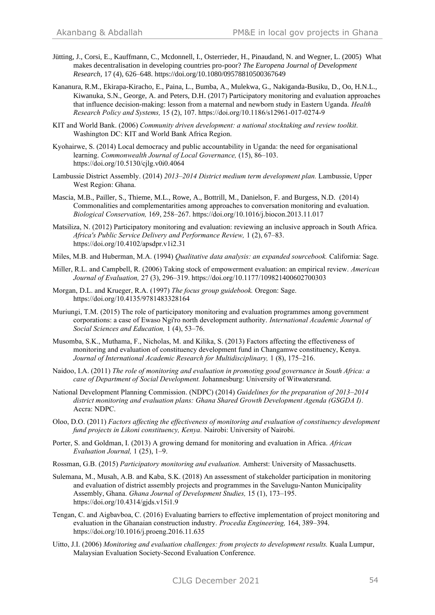- Jütting, J., Corsi, E., Kauffmann, C., Mcdonnell, I., Osterrieder, H., Pinaudand, N. and Wegner, L. (2005) What makes decentralisation in developing countries pro-poor? *The Europena Journal of Development Research,* 17 (4), 626–648. https://doi.org/10.1080/09578810500367649
- Kananura, R.M., Ekirapa-Kiracho, E., Paina, L., Bumba, A., Mulekwa, G., Nakiganda-Busiku, D., Oo, H.N.L., Kiwanuka, S.N., George, A. and Peters, D.H. (2017) Participatory monitoring and evaluation approaches that influence decision-making: lesson from a maternal and newborn study in Eastern Uganda. *Health Research Policy and Systems,* 15 (2), 107. https://doi.org/10.1186/s12961-017-0274-9
- KIT and World Bank. (2006) *Community driven development: a national stocktaking and review toolkit.* Washington DC: KIT and World Bank Africa Region.
- Kyohairwe, S. (2014) Local democracy and public accountability in Uganda: the need for organisational learning. *Commonwealth Journal of Local Governance,* (15), 86–103. https://doi.org/10.5130/cjlg.v0i0.4064
- Lambussie District Assembly. (2014) *2013–2014 District medium term development plan.* Lambussie, Upper West Region: Ghana.
- Mascia, M.B., Pailler, S., Thieme, M.L., Rowe, A., Bottrill, M., Danielson, F. and Burgess, N.D. (2014) Commonalities and complementarities among approaches to conversation monitoring and evaluation. *Biological Conservation,* 169, 258–267. https://doi.org/10.1016/j.biocon.2013.11.017
- Matsiliza, N. (2012) Participatory monitoring and evaluation: reviewing an inclusive approach in South Africa. *Africa's Public Service Delivery and Performance Review,* 1 (2), 67–83. https://doi.org/10.4102/apsdpr.v1i2.31
- Miles, M.B. and Huberman, M.A. (1994) *Qualitative data analysis: an expanded sourcebook.* California: Sage.
- Miller, R.L. and Campbell, R. (2006) Taking stock of empowerment evaluation: an empirical review. *American Journal of Evaluation,* 27 (3), 296–319. https://doi.org/10.1177/109821400602700303
- Morgan, D.L. and Krueger, R.A. (1997) *The focus group guidebook.* Oregon: Sage. https://doi.org/10.4135/9781483328164
- Muriungi, T.M. (2015) The role of participatory monitoring and evaluation programmes among government corporations: a case of Ewaso Ngi'ro north development authority. *International Academic Journal of Social Sciences and Education,* 1 (4), 53–76.
- Musomba, S.K., Muthama, F., Nicholas, M. and Kilika, S. (2013) Factors affecting the effectiveness of monitoring and evaluation of constituency development fund in Changamwe constituency, Kenya. *Journal of International Academic Research for Multidisciplinary,* 1 (8), 175–216.
- Naidoo, I.A. (2011) *The role of monitoring and evaluation in promoting good governance in South Africa: a case of Department of Social Development.* Johannesburg: University of Witwatersrand.
- National Development Planning Commission. (NDPC) (2014) *Guidelines for the preparation of 2013–2014 district monitoring and evaluation plans: Ghana Shared Growth Development Agenda (GSGDA I).* Accra: NDPC.
- Oloo, D.O. (2011) *Factors affecting the effectiveness of monitoring and evaluation of constituency development fund projects in Likoni constituency, Kenya.* Nairobi: University of Nairobi.
- Porter, S. and Goldman, I. (2013) A growing demand for monitoring and evaluation in Africa. *African Evaluation Journal,* 1 (25), 1–9.
- Rossman, G.B. (2015) *Participatory monitoring and evaluation.* Amherst: University of Massachusetts.
- Sulemana, M., Musah, A.B. and Kaba, S.K. (2018) An assessment of stakeholder participation in monitoring and evaluation of district assembly projects and programmes in the Savelugu-Nanton Municipality Assembly, Ghana. *Ghana Journal of Development Studies,* 15 (1), 173–195. https://doi.org/10.4314/gjds.v15i1.9
- Tengan, C. and Aigbavboa, C. (2016) Evaluating barriers to effective implementation of project monitoring and evaluation in the Ghanaian construction industry. *Procedia Engineering,* 164, 389–394. https://doi.org/10.1016/j.proeng.2016.11.635
- Uitto, J.I. (2006) *Monitoring and evaluation challenges: from projects to development results*. Kuala Lumpur, Malaysian Evaluation Society-Second Evaluation Conference.